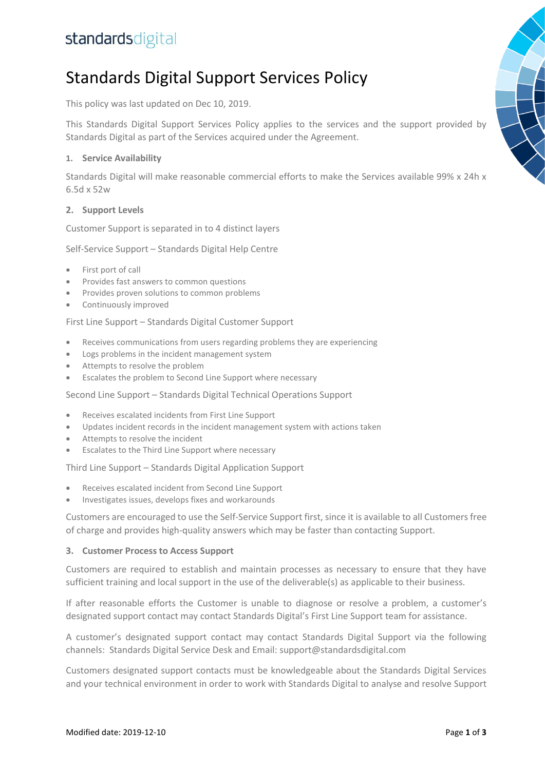## standardsdigital

# Standards Digital Support Services Policy

This policy was last updated on Dec 10, 2019.

This Standards Digital Support Services Policy applies to the services and the support provided by Standards Digital as part of the Services acquired under the Agreement.

#### **1. Service Availability**

Standards Digital will make reasonable commercial efforts to make the Services available 99% x 24h x 6.5d x 52w

#### **2. Support Levels**

Customer Support is separated in to 4 distinct layers

Self-Service Support – Standards Digital Help Centre

- First port of call
- Provides fast answers to common questions
- Provides proven solutions to common problems
- Continuously improved

First Line Support – Standards Digital Customer Support

- Receives communications from users regarding problems they are experiencing
- Logs problems in the incident management system
- Attempts to resolve the problem
- Escalates the problem to Second Line Support where necessary

Second Line Support – Standards Digital Technical Operations Support

- Receives escalated incidents from First Line Support
- Updates incident records in the incident management system with actions taken
- Attempts to resolve the incident
- Escalates to the Third Line Support where necessary

Third Line Support – Standards Digital Application Support

- Receives escalated incident from Second Line Support
- Investigates issues, develops fixes and workarounds

Customers are encouraged to use the Self-Service Support first, since it is available to all Customers free of charge and provides high-quality answers which may be faster than contacting Support.

#### **3. Customer Process to Access Support**

Customers are required to establish and maintain processes as necessary to ensure that they have sufficient training and local support in the use of the deliverable(s) as applicable to their business.

If after reasonable efforts the Customer is unable to diagnose or resolve a problem, a customer's designated support contact may contact Standards Digital's First Line Support team for assistance.

A customer's designated support contact may contact Standards Digital Support via the following channels: Standards Digital Service Desk and Email[: support@standardsdigital.com](mailto:support@standardsdigital.com)

Customers designated support contacts must be knowledgeable about the Standards Digital Services and your technical environment in order to work with Standards Digital to analyse and resolve Support

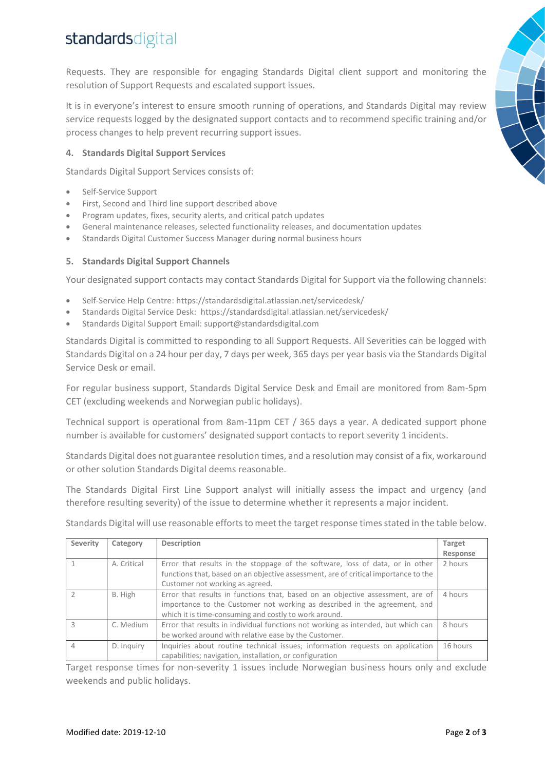# standardsdigital

Requests. They are responsible for engaging Standards Digital client support and monitoring the resolution of Support Requests and escalated support issues.

It is in everyone's interest to ensure smooth running of operations, and Standards Digital may review service requests logged by the designated support contacts and to recommend specific training and/or process changes to help prevent recurring support issues.

### **4. Standards Digital Support Services**

Standards Digital Support Services consists of:

- Self-Service Support
- First, Second and Third line support described above
- Program updates, fixes, security alerts, and critical patch updates
- General maintenance releases, selected functionality releases, and documentation updates
- Standards Digital Customer Success Manager during normal business hours

#### **5. Standards Digital Support Channels**

Your designated support contacts may contact Standards Digital for Support via the following channels:

- Self-Service Help Centre[: https://standardsdigital.atlassian.net/servicedesk/](https://standardsdigital.atlassian.net/servicedesk/)
- Standards Digital Service Desk: <https://standardsdigital.atlassian.net/servicedesk/>
- Standards Digital Support Email: [support@standardsdigital.com](mailto:support@standardsdigital.com)

Standards Digital is committed to responding to all Support Requests. All Severities can be logged with Standards Digital on a 24 hour per day, 7 days per week, 365 days per year basis via the Standards Digital Service Desk or email.

For regular business support, Standards Digital Service Desk and Email are monitored from 8am-5pm CET (excluding weekends and Norwegian public holidays).

Technical support is operational from 8am-11pm CET / 365 days a year. A dedicated support phone number is available for customers' designated support contacts to report severity 1 incidents.

Standards Digital does not guarantee resolution times, and a resolution may consist of a fix, workaround or other solution Standards Digital deems reasonable.

The Standards Digital First Line Support analyst will initially assess the impact and urgency (and therefore resulting severity) of the issue to determine whether it represents a major incident.

| <b>Severity</b> | Category    | Description                                                                                                                                                                                                          | Target<br>Response |
|-----------------|-------------|----------------------------------------------------------------------------------------------------------------------------------------------------------------------------------------------------------------------|--------------------|
|                 | A. Critical | Error that results in the stoppage of the software, loss of data, or in other<br>functions that, based on an objective assessment, are of critical importance to the<br>Customer not working as agreed.              | 2 hours            |
|                 | B. High     | Error that results in functions that, based on an objective assessment, are of<br>importance to the Customer not working as described in the agreement, and<br>which it is time-consuming and costly to work around. | 4 hours            |
| 3               | C. Medium   | Error that results in individual functions not working as intended, but which can<br>be worked around with relative ease by the Customer.                                                                            | 8 hours            |
| $\overline{4}$  | D. Inquiry  | Inquiries about routine technical issues; information requests on application<br>capabilities; navigation, installation, or configuration                                                                            | 16 hours           |

Standards Digital will use reasonable efforts to meet the target response times stated in the table below.

Target response times for non-severity 1 issues include Norwegian business hours only and exclude weekends and public holidays.